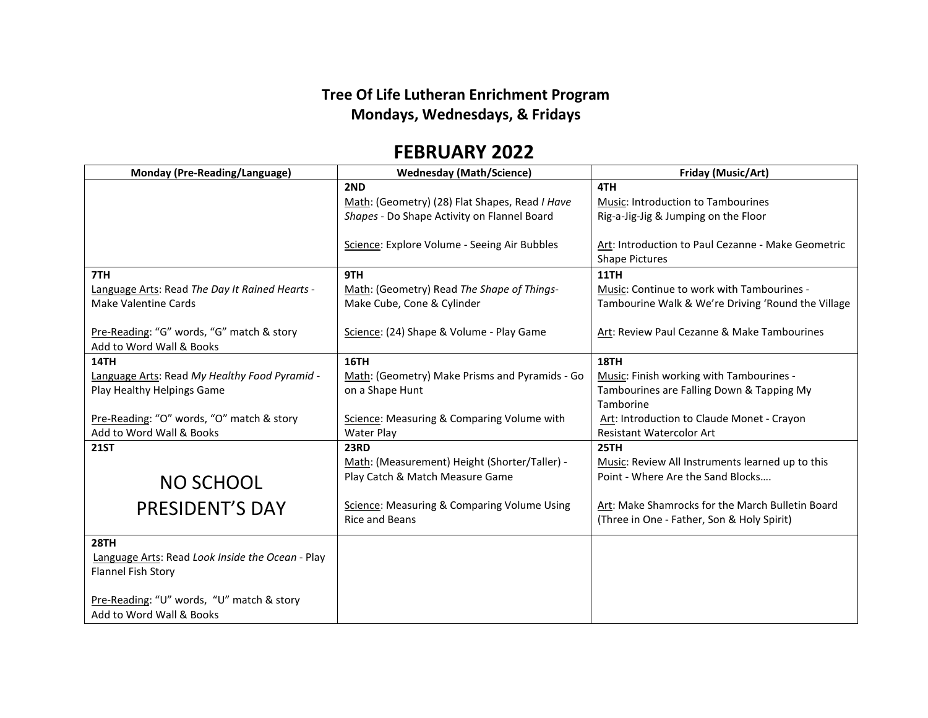## **Tree Of Life Lutheran Enrichment Program Mondays, Wednesdays, & Fridays**

## **FEBRUARY 2022**

| <b>Monday (Pre-Reading/Language)</b>             | <b>Wednesday (Math/Science)</b>                | Friday (Music/Art)                                 |
|--------------------------------------------------|------------------------------------------------|----------------------------------------------------|
|                                                  | 2ND                                            | 4TH                                                |
|                                                  | Math: (Geometry) (28) Flat Shapes, Read I Have | <b>Music: Introduction to Tambourines</b>          |
|                                                  | Shapes - Do Shape Activity on Flannel Board    | Rig-a-Jig-Jig & Jumping on the Floor               |
|                                                  |                                                |                                                    |
|                                                  | Science: Explore Volume - Seeing Air Bubbles   | Art: Introduction to Paul Cezanne - Make Geometric |
|                                                  |                                                | <b>Shape Pictures</b>                              |
| 7TH                                              | 9TH                                            | <b>11TH</b>                                        |
| Language Arts: Read The Day It Rained Hearts -   | Math: (Geometry) Read The Shape of Things-     | Music: Continue to work with Tambourines -         |
| <b>Make Valentine Cards</b>                      | Make Cube, Cone & Cylinder                     | Tambourine Walk & We're Driving 'Round the Village |
|                                                  |                                                |                                                    |
| Pre-Reading: "G" words, "G" match & story        | Science: (24) Shape & Volume - Play Game       | Art: Review Paul Cezanne & Make Tambourines        |
| Add to Word Wall & Books                         |                                                |                                                    |
| 14TH                                             | <b>16TH</b>                                    | 18TH                                               |
| Language Arts: Read My Healthy Food Pyramid -    | Math: (Geometry) Make Prisms and Pyramids - Go | Music: Finish working with Tambourines -           |
| Play Healthy Helpings Game                       | on a Shape Hunt                                | Tambourines are Falling Down & Tapping My          |
|                                                  |                                                | Tamborine                                          |
| Pre-Reading: "O" words, "O" match & story        | Science: Measuring & Comparing Volume with     | Art: Introduction to Claude Monet - Crayon         |
| Add to Word Wall & Books                         | <b>Water Play</b>                              | <b>Resistant Watercolor Art</b>                    |
| <b>21ST</b>                                      | <b>23RD</b>                                    | 25TH                                               |
|                                                  | Math: (Measurement) Height (Shorter/Taller) -  | Music: Review All Instruments learned up to this   |
| <b>NO SCHOOL</b>                                 | Play Catch & Match Measure Game                | Point - Where Are the Sand Blocks                  |
|                                                  |                                                |                                                    |
| <b>PRESIDENT'S DAY</b>                           | Science: Measuring & Comparing Volume Using    | Art: Make Shamrocks for the March Bulletin Board   |
|                                                  | <b>Rice and Beans</b>                          | (Three in One - Father, Son & Holy Spirit)         |
| 28TH                                             |                                                |                                                    |
| Language Arts: Read Look Inside the Ocean - Play |                                                |                                                    |
| Flannel Fish Story                               |                                                |                                                    |
|                                                  |                                                |                                                    |
| Pre-Reading: "U" words, "U" match & story        |                                                |                                                    |
| Add to Word Wall & Books                         |                                                |                                                    |